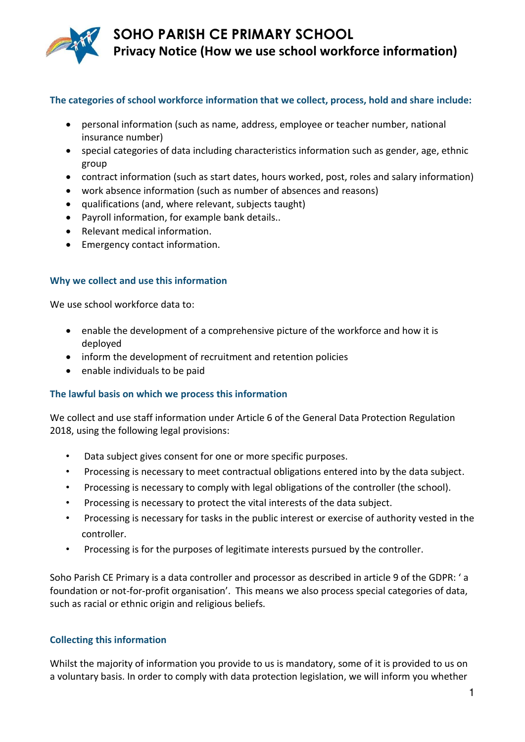

# **SOHO PARISH CE PRIMARY SCHOOL Privacy Notice (How we use school workforce information)**

#### **The categories of school workforce information that we collect, process, hold and share include:**

- personal information (such as name, address, employee or teacher number, national insurance number)
- special categories of data including characteristics information such as gender, age, ethnic group
- contract information (such as start dates, hours worked, post, roles and salary information)
- work absence information (such as number of absences and reasons)
- qualifications (and, where relevant, subjects taught)
- Payroll information, for example bank details..
- Relevant medical information.
- Emergency contact information.

#### **Why we collect and use this information**

We use school workforce data to:

- enable the development of a comprehensive picture of the workforce and how it is deployed
- inform the development of recruitment and retention policies
- enable individuals to be paid

#### **The lawful basis on which we process this information**

We collect and use staff information under Article 6 of the General Data Protection Regulation 2018, using the following legal provisions:

- Data subject gives consent for one or more specific purposes.
- Processing is necessary to meet contractual obligations entered into by the data subject.
- Processing is necessary to comply with legal obligations of the controller (the school).
- Processing is necessary to protect the vital interests of the data subject.
- Processing is necessary for tasks in the public interest or exercise of authority vested in the controller.
- Processing is for the purposes of legitimate interests pursued by the controller.

Soho Parish CE Primary is a data controller and processor as described in article 9 of the GDPR: ' a foundation or not-for-profit organisation'. This means we also process special categories of data, such as racial or ethnic origin and religious beliefs.

#### **Collecting this information**

Whilst the majority of information you provide to us is mandatory, some of it is provided to us on a voluntary basis. In order to comply with data protection legislation, we will inform you whether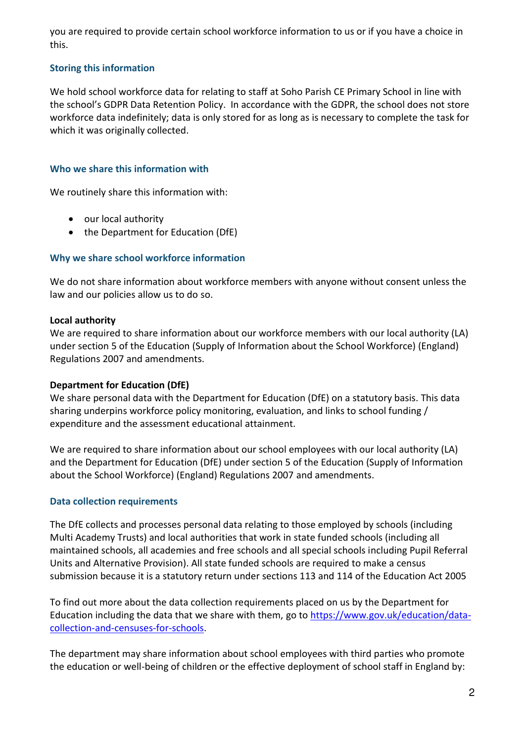you are required to provide certain school workforce information to us or if you have a choice in this.

# **Storing this information**

We hold school workforce data for relating to staff at Soho Parish CE Primary School in line with the school's GDPR Data Retention Policy. In accordance with the GDPR, the school does not store workforce data indefinitely; data is only stored for as long as is necessary to complete the task for which it was originally collected.

# **Who we share this information with**

We routinely share this information with:

- our local authority
- the Department for Education (DfE)

# **Why we share school workforce information**

We do not share information about workforce members with anyone without consent unless the law and our policies allow us to do so.

# **Local authority**

We are required to share information about our workforce members with our local authority (LA) under section 5 of the Education (Supply of Information about the School Workforce) (England) Regulations 2007 and amendments.

# **Department for Education (DfE)**

We share personal data with the Department for Education (DfE) on a statutory basis. This data sharing underpins workforce policy monitoring, evaluation, and links to school funding / expenditure and the assessment educational attainment.

We are required to share information about our school employees with our local authority (LA) and the Department for Education (DfE) under section 5 of the Education (Supply of Information about the School Workforce) (England) Regulations 2007 and amendments.

## **Data collection requirements**

The DfE collects and processes personal data relating to those employed by schools (including Multi Academy Trusts) and local authorities that work in state funded schools (including all maintained schools, all academies and free schools and all special schools including Pupil Referral Units and Alternative Provision). All state funded schools are required to make a census submission because it is a statutory return under sections 113 and 114 of the Education Act 2005

To find out more about the data collection requirements placed on us by the Department for Education including the data that we share with them, go to [https://www.gov.uk/education/data](https://www.gov.uk/education/data-collection-and-censuses-for-schools)[collection-and-censuses-for-schools.](https://www.gov.uk/education/data-collection-and-censuses-for-schools)

The department may share information about school employees with third parties who promote the education or well-being of children or the effective deployment of school staff in England by: